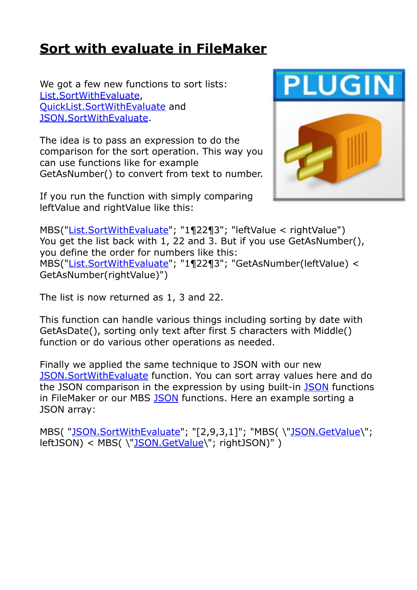## **[Sort with evaluate in FileMaker](https://www.mbs-plugins.com/archive/2020-04-10/Sort_with_evaluate_in_FileMake/monkeybreadsoftware_blog_filemaker)**

We got a few new functions to sort lists: [List.SortWithEvaluate](https://www.mbsplugins.eu/ListSortWithEvaluate.shtml), [QuickList.SortWithEvaluate](https://www.mbsplugins.eu/QuickListSortWithEvaluate.shtml) and [JSON.SortWithEvaluate.](https://www.mbsplugins.eu/JSONSortWithEvaluate.shtml)

The idea is to pass an expression to do the comparison for the sort operation. This way you can use functions like for example GetAsNumber() to convert from text to number.

If you run the function with simply comparing leftValue and rightValue like this:



MBS("[List.SortWithEvaluate"](https://www.mbsplugins.eu/ListSortWithEvaluate.shtml); "1¶22¶3"; "leftValue < rightValue") You get the list back with 1, 22 and 3. But if you use GetAsNumber(), you define the order for numbers like this: MBS("[List.SortWithEvaluate"](https://www.mbsplugins.eu/ListSortWithEvaluate.shtml); "1¶22¶3"; "GetAsNumber(leftValue) < GetAsNumber(rightValue)")

The list is now returned as 1, 3 and 22.

This function can handle various things including sorting by date with GetAsDate(), sorting only text after first 5 characters with Middle() function or do various other operations as needed.

Finally we applied the same technique to JSON with our new [JSON.SortWithEvaluate](https://www.mbsplugins.eu/JSONSortWithEvaluate.shtml) function. You can sort array values here and do the JSON comparison in the expression by using built-in [JSON](https://www.mbsplugins.eu/component_JSON.shtml) functions in FileMaker or our MBS [JSON](https://www.mbsplugins.eu/component_JSON.shtml) functions. Here an example sorting a JSON array:

MBS("[JSON.SortWithEvaluate"](https://www.mbsplugins.eu/JSONSortWithEvaluate.shtml); "[2,9,3,1]"; "MBS(\"[JSON.GetValue](https://www.mbsplugins.eu/JSONGetValue.shtml)\"; leftJSON) < MBS(\["JSON.GetValue\](https://www.mbsplugins.eu/JSONGetValue.shtml)"; rightJSON)")